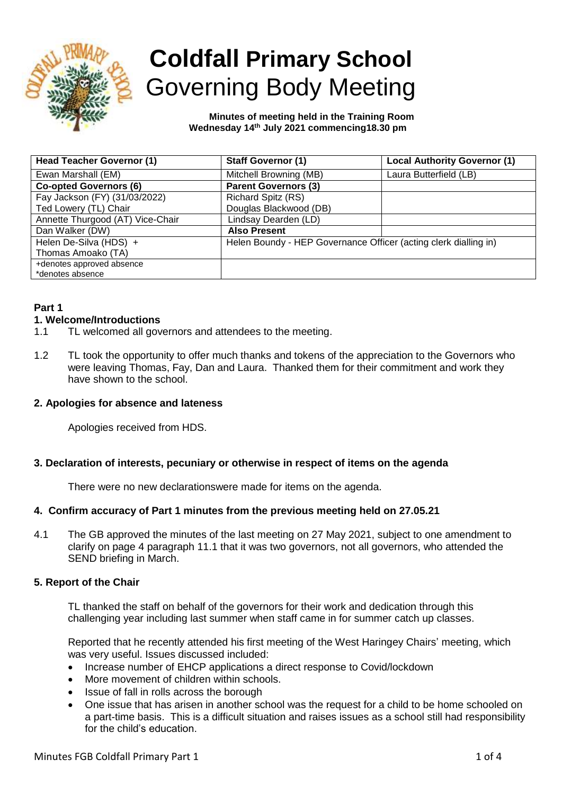

# **Coldfall Primary School** Governing Body Meeting

 **Minutes of meeting held in the Training Room Wednesday 14th July 2021 commencing18.30 pm**

| <b>Head Teacher Governor (1)</b> | <b>Staff Governor (1)</b>                                        | <b>Local Authority Governor (1)</b> |
|----------------------------------|------------------------------------------------------------------|-------------------------------------|
| Ewan Marshall (EM)               | Mitchell Browning (MB)                                           | Laura Butterfield (LB)              |
| <b>Co-opted Governors (6)</b>    | <b>Parent Governors (3)</b>                                      |                                     |
| Fay Jackson (FY) (31/03/2022)    | Richard Spitz (RS)                                               |                                     |
| Ted Lowery (TL) Chair            | Douglas Blackwood (DB)                                           |                                     |
| Annette Thurgood (AT) Vice-Chair | Lindsay Dearden (LD)                                             |                                     |
| Dan Walker (DW)                  | <b>Also Present</b>                                              |                                     |
| Helen De-Silva (HDS) +           | Helen Boundy - HEP Governance Officer (acting clerk dialling in) |                                     |
| Thomas Amoako (TA)               |                                                                  |                                     |
| +denotes approved absence        |                                                                  |                                     |
| *denotes absence                 |                                                                  |                                     |

# **Part 1**

## **1. Welcome/Introductions**

- 1.1 TL welcomed all governors and attendees to the meeting.
- 1.2 TL took the opportunity to offer much thanks and tokens of the appreciation to the Governors who were leaving Thomas, Fay, Dan and Laura. Thanked them for their commitment and work they have shown to the school.

## **2. Apologies for absence and lateness**

Apologies received from HDS.

## **3. Declaration of interests, pecuniary or otherwise in respect of items on the agenda**

There were no new declarationswere made for items on the agenda.

## **4. Confirm accuracy of Part 1 minutes from the previous meeting held on 27.05.21**

4.1 The GB approved the minutes of the last meeting on 27 May 2021, subject to one amendment to clarify on page 4 paragraph 11.1 that it was two governors, not all governors, who attended the SEND briefing in March.

## **5. Report of the Chair**

TL thanked the staff on behalf of the governors for their work and dedication through this challenging year including last summer when staff came in for summer catch up classes.

Reported that he recently attended his first meeting of the West Haringey Chairs' meeting, which was very useful. Issues discussed included:

- Increase number of EHCP applications a direct response to Covid/lockdown
- More movement of children within schools.
- Issue of fall in rolls across the borough
- One issue that has arisen in another school was the request for a child to be home schooled on a part-time basis. This is a difficult situation and raises issues as a school still had responsibility for the child's education.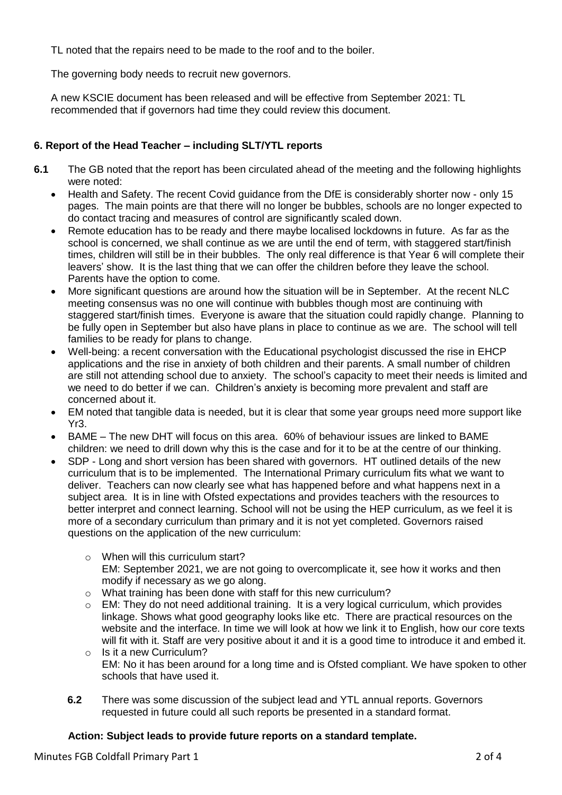TL noted that the repairs need to be made to the roof and to the boiler.

The governing body needs to recruit new governors.

A new KSCIE document has been released and will be effective from September 2021: TL recommended that if governors had time they could review this document.

# **6. Report of the Head Teacher – including SLT/YTL reports**

- **6.1** The GB noted that the report has been circulated ahead of the meeting and the following highlights were noted:
	- Health and Safety. The recent Covid guidance from the DfE is considerably shorter now only 15 pages. The main points are that there will no longer be bubbles, schools are no longer expected to do contact tracing and measures of control are significantly scaled down.
	- Remote education has to be ready and there maybe localised lockdowns in future. As far as the school is concerned, we shall continue as we are until the end of term, with staggered start/finish times, children will still be in their bubbles. The only real difference is that Year 6 will complete their leavers' show. It is the last thing that we can offer the children before they leave the school. Parents have the option to come.
	- More significant questions are around how the situation will be in September. At the recent NLC meeting consensus was no one will continue with bubbles though most are continuing with staggered start/finish times. Everyone is aware that the situation could rapidly change. Planning to be fully open in September but also have plans in place to continue as we are. The school will tell families to be ready for plans to change.
	- Well-being: a recent conversation with the Educational psychologist discussed the rise in EHCP applications and the rise in anxiety of both children and their parents. A small number of children are still not attending school due to anxiety. The school's capacity to meet their needs is limited and we need to do better if we can. Children's anxiety is becoming more prevalent and staff are concerned about it.
	- EM noted that tangible data is needed, but it is clear that some year groups need more support like Yr3.
	- BAME The new DHT will focus on this area. 60% of behaviour issues are linked to BAME children: we need to drill down why this is the case and for it to be at the centre of our thinking.
	- SDP Long and short version has been shared with governors. HT outlined details of the new curriculum that is to be implemented. The International Primary curriculum fits what we want to deliver. Teachers can now clearly see what has happened before and what happens next in a subject area. It is in line with Ofsted expectations and provides teachers with the resources to better interpret and connect learning. School will not be using the HEP curriculum, as we feel it is more of a secondary curriculum than primary and it is not yet completed. Governors raised questions on the application of the new curriculum:
		- $\circ$  When will this curriculum start? EM: September 2021, we are not going to overcomplicate it, see how it works and then modify if necessary as we go along.
		- o What training has been done with staff for this new curriculum?
		- $\circ$  EM: They do not need additional training. It is a very logical curriculum, which provides linkage. Shows what good geography looks like etc. There are practical resources on the website and the interface. In time we will look at how we link it to English, how our core texts will fit with it. Staff are very positive about it and it is a good time to introduce it and embed it. o Is it a new Curriculum?
		- EM: No it has been around for a long time and is Ofsted compliant. We have spoken to other schools that have used it.
		- **6.2** There was some discussion of the subject lead and YTL annual reports. Governors requested in future could all such reports be presented in a standard format.

# **Action: Subject leads to provide future reports on a standard template.**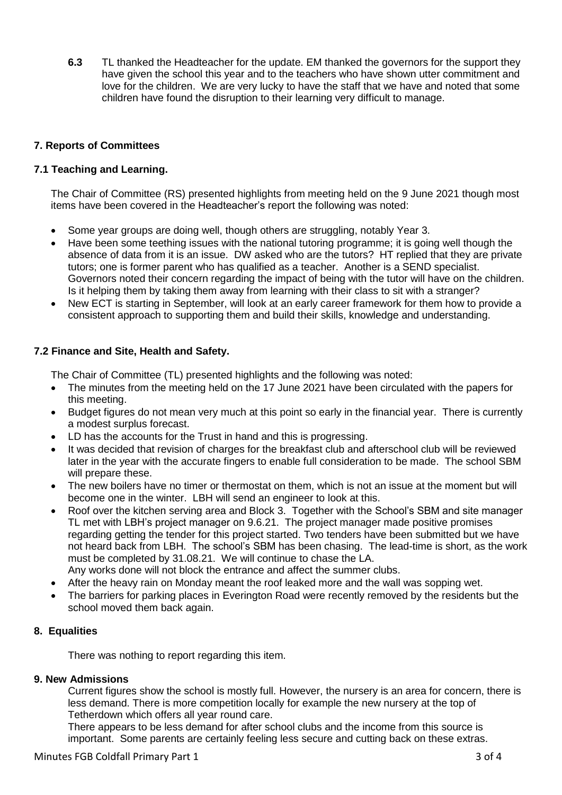**6.3** TL thanked the Headteacher for the update. EM thanked the governors for the support they have given the school this year and to the teachers who have shown utter commitment and love for the children. We are very lucky to have the staff that we have and noted that some children have found the disruption to their learning very difficult to manage.

## **7. Reports of Committees**

## **7.1 Teaching and Learning.**

The Chair of Committee (RS) presented highlights from meeting held on the 9 June 2021 though most items have been covered in the Headteacher's report the following was noted:

- Some year groups are doing well, though others are struggling, notably Year 3.
- Have been some teething issues with the national tutoring programme; it is going well though the absence of data from it is an issue. DW asked who are the tutors? HT replied that they are private tutors; one is former parent who has qualified as a teacher. Another is a SEND specialist. Governors noted their concern regarding the impact of being with the tutor will have on the children. Is it helping them by taking them away from learning with their class to sit with a stranger?
- New ECT is starting in September, will look at an early career framework for them how to provide a consistent approach to supporting them and build their skills, knowledge and understanding.

## **7.2 Finance and Site, Health and Safety.**

The Chair of Committee (TL) presented highlights and the following was noted:

- The minutes from the meeting held on the 17 June 2021 have been circulated with the papers for this meeting.
- Budget figures do not mean very much at this point so early in the financial year. There is currently a modest surplus forecast.
- LD has the accounts for the Trust in hand and this is progressing.
- It was decided that revision of charges for the breakfast club and afterschool club will be reviewed later in the year with the accurate fingers to enable full consideration to be made. The school SBM will prepare these.
- The new boilers have no timer or thermostat on them, which is not an issue at the moment but will become one in the winter. LBH will send an engineer to look at this.
- Roof over the kitchen serving area and Block 3. Together with the School's SBM and site manager TL met with LBH's project manager on 9.6.21. The project manager made positive promises regarding getting the tender for this project started. Two tenders have been submitted but we have not heard back from LBH. The school's SBM has been chasing. The lead-time is short, as the work must be completed by 31.08.21. We will continue to chase the LA. Any works done will not block the entrance and affect the summer clubs.
- After the heavy rain on Monday meant the roof leaked more and the wall was sopping wet.
- The barriers for parking places in Everington Road were recently removed by the residents but the school moved them back again.

## **8. Equalities**

There was nothing to report regarding this item.

## **9. New Admissions**

Current figures show the school is mostly full. However, the nursery is an area for concern, there is less demand. There is more competition locally for example the new nursery at the top of Tetherdown which offers all year round care.

There appears to be less demand for after school clubs and the income from this source is important. Some parents are certainly feeling less secure and cutting back on these extras.